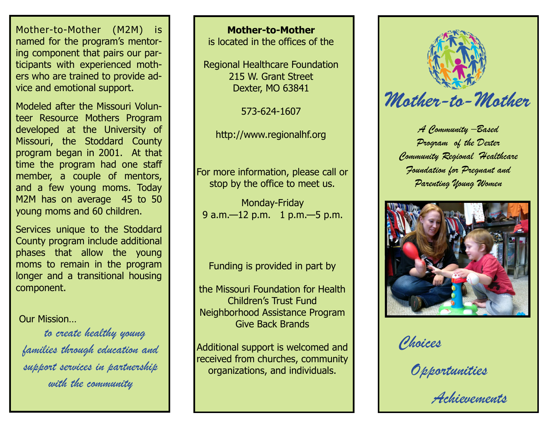Mother-to-Mother (M2M) is named for the program's mentoring component that pairs our participants with experienced mothers who are trained to provide advice and emotional support.

Modeled after the Missouri Volunteer Resource Mothers Program developed at the University of Missouri, the Stoddard County program began in 2001. At that time the program had one staff member, a couple of mentors, and a few young moms. Today M2M has on average 45 to 50 young moms and 60 children.

Services unique to the Stoddard County program include additional phases that allow the young moms to remain in the program longer and a transitional housing component.

Our Mission…

 *to create healthy young families through education and support services in partnership with the community*

**Mother-to-Mother** is located in the offices of the

Regional Healthcare Foundation 215 W. Grant Street Dexter, MO 63841

573-624-1607

For more information, please call or stop by the office to meet us.

Monday-Friday 9 a.m. -12 p.m. 1 p.m. -5 p.m.

Funding is provided in part by

the Missouri Foundation for Health Children's Trust Fund Neighborhood Assistance Program Give Back Brands

Additional support is welcomed and received from churches, community organizations, and individuals.



http://www.regionalhf.org *A Community –Based Program of the Dexter Community Regional Healthcare Foundation for Pregnant and Parenting Young Women*



*Choices*

*Opportunities*

*Achievements*